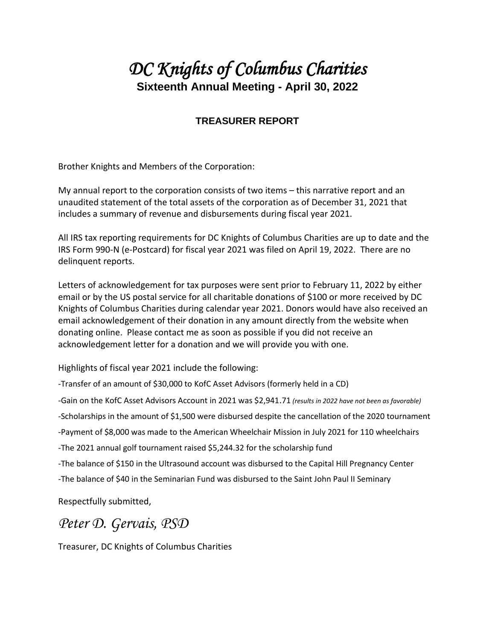## *DC Knights of Columbus Charities*  **Sixteenth Annual Meeting - April 30, 2022**

## **TREASURER REPORT**

Brother Knights and Members of the Corporation:

My annual report to the corporation consists of two items – this narrative report and an unaudited statement of the total assets of the corporation as of December 31, 2021 that includes a summary of revenue and disbursements during fiscal year 2021.

All IRS tax reporting requirements for DC Knights of Columbus Charities are up to date and the IRS Form 990-N (e-Postcard) for fiscal year 2021 was filed on April 19, 2022. There are no delinquent reports.

Letters of acknowledgement for tax purposes were sent prior to February 11, 2022 by either email or by the US postal service for all charitable donations of \$100 or more received by DC Knights of Columbus Charities during calendar year 2021. Donors would have also received an email acknowledgement of their donation in any amount directly from the website when donating online. Please contact me as soon as possible if you did not receive an acknowledgement letter for a donation and we will provide you with one.

Highlights of fiscal year 2021 include the following:

-Transfer of an amount of \$30,000 to KofC Asset Advisors (formerly held in a CD)

-Gain on the KofC Asset Advisors Account in 2021 was \$2,941.71 *(results in 2022 have not been as favorable)*

-Scholarships in the amount of \$1,500 were disbursed despite the cancellation of the 2020 tournament

-Payment of \$8,000 was made to the American Wheelchair Mission in July 2021 for 110 wheelchairs

-The 2021 annual golf tournament raised \$5,244.32 for the scholarship fund

-The balance of \$150 in the Ultrasound account was disbursed to the Capital Hill Pregnancy Center

-The balance of \$40 in the Seminarian Fund was disbursed to the Saint John Paul II Seminary

Respectfully submitted,

*Peter D. Gervais, PSD*

Treasurer, DC Knights of Columbus Charities